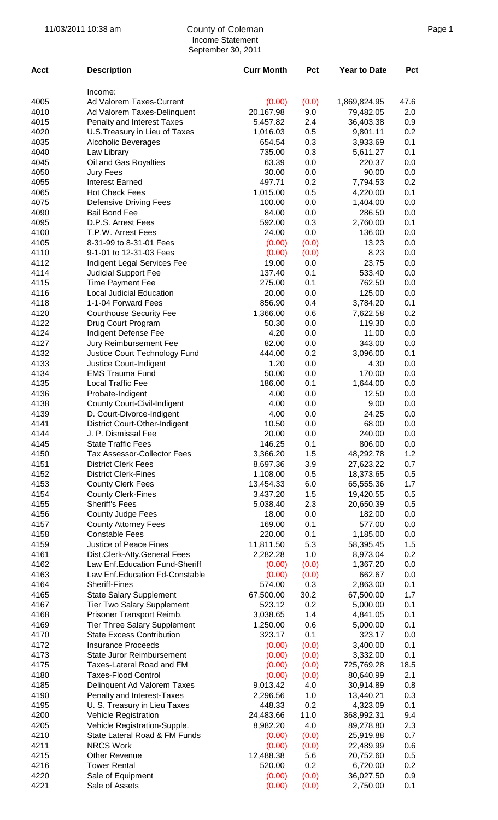## 11/03/2011 10:38 am Page 1 County of Coleman Income Statement September 30, 2011

| <b>Acct</b>  | <b>Description</b>                                                  | <b>Curr Month</b>     | Pct          | <b>Year to Date</b>       | Pct         |
|--------------|---------------------------------------------------------------------|-----------------------|--------------|---------------------------|-------------|
|              |                                                                     |                       |              |                           |             |
|              | Income:                                                             |                       |              |                           |             |
| 4005<br>4010 | Ad Valorem Taxes-Current                                            | (0.00)<br>20,167.98   | (0.0)<br>9.0 | 1,869,824.95<br>79,482.05 | 47.6<br>2.0 |
| 4015         | Ad Valorem Taxes-Delinquent<br>Penalty and Interest Taxes           | 5,457.82              | 2.4          | 36,403.38                 | 0.9         |
| 4020         | U.S. Treasury in Lieu of Taxes                                      | 1,016.03              | 0.5          | 9,801.11                  | 0.2         |
| 4035         | Alcoholic Beverages                                                 | 654.54                | 0.3          | 3,933.69                  | 0.1         |
| 4040         | Law Library                                                         | 735.00                | 0.3          | 5,611.27                  | 0.1         |
| 4045         | Oil and Gas Royalties                                               | 63.39                 | 0.0          | 220.37                    | 0.0         |
| 4050         | Jury Fees                                                           | 30.00                 | 0.0          | 90.00                     | 0.0         |
| 4055         | <b>Interest Earned</b>                                              | 497.71                | 0.2          | 7,794.53                  | 0.2         |
| 4065         | <b>Hot Check Fees</b>                                               | 1,015.00              | 0.5          | 4,220.00                  | 0.1         |
| 4075         | <b>Defensive Driving Fees</b>                                       | 100.00                | 0.0          | 1,404.00                  | 0.0         |
| 4090         | <b>Bail Bond Fee</b>                                                | 84.00                 | 0.0          | 286.50                    | 0.0         |
| 4095<br>4100 | D.P.S. Arrest Fees<br>T.P.W. Arrest Fees                            | 592.00<br>24.00       | 0.3<br>0.0   | 2,760.00<br>136.00        | 0.1<br>0.0  |
| 4105         | 8-31-99 to 8-31-01 Fees                                             | (0.00)                | (0.0)        | 13.23                     | 0.0         |
| 4110         | 9-1-01 to 12-31-03 Fees                                             | (0.00)                | (0.0)        | 8.23                      | 0.0         |
| 4112         | Indigent Legal Services Fee                                         | 19.00                 | 0.0          | 23.75                     | 0.0         |
| 4114         | <b>Judicial Support Fee</b>                                         | 137.40                | 0.1          | 533.40                    | 0.0         |
| 4115         | <b>Time Payment Fee</b>                                             | 275.00                | 0.1          | 762.50                    | 0.0         |
| 4116         | <b>Local Judicial Education</b>                                     | 20.00                 | 0.0          | 125.00                    | 0.0         |
| 4118         | 1-1-04 Forward Fees                                                 | 856.90                | 0.4          | 3,784.20                  | 0.1         |
| 4120         | <b>Courthouse Security Fee</b>                                      | 1,366.00              | 0.6          | 7,622.58                  | 0.2         |
| 4122         | Drug Court Program                                                  | 50.30                 | 0.0          | 119.30                    | 0.0         |
| 4124         | Indigent Defense Fee                                                | 4.20                  | 0.0          | 11.00                     | 0.0         |
| 4127         | Jury Reimbursement Fee                                              | 82.00                 | 0.0          | 343.00                    | 0.0         |
| 4132<br>4133 | Justice Court Technology Fund                                       | 444.00<br>1.20        | 0.2<br>0.0   | 3,096.00<br>4.30          | 0.1<br>0.0  |
| 4134         | Justice Court-Indigent<br><b>EMS Trauma Fund</b>                    | 50.00                 | 0.0          | 170.00                    | 0.0         |
| 4135         | <b>Local Traffic Fee</b>                                            | 186.00                | 0.1          | 1,644.00                  | 0.0         |
| 4136         | Probate-Indigent                                                    | 4.00                  | 0.0          | 12.50                     | 0.0         |
| 4138         | <b>County Court-Civil-Indigent</b>                                  | 4.00                  | 0.0          | 9.00                      | 0.0         |
| 4139         | D. Court-Divorce-Indigent                                           | 4.00                  | 0.0          | 24.25                     | 0.0         |
| 4141         | <b>District Court-Other-Indigent</b>                                | 10.50                 | 0.0          | 68.00                     | 0.0         |
| 4144         | J. P. Dismissal Fee                                                 | 20.00                 | 0.0          | 240.00                    | 0.0         |
| 4145         | <b>State Traffic Fees</b>                                           | 146.25                | 0.1          | 806.00                    | $0.0\,$     |
| 4150         | <b>Tax Assessor-Collector Fees</b>                                  | 3,366.20              | 1.5          | 48,292.78                 | 1.2         |
| 4151         | <b>District Clerk Fees</b>                                          | 8,697.36              | 3.9          | 27,623.22                 | 0.7         |
| 4152<br>4153 | <b>District Clerk-Fines</b><br><b>County Clerk Fees</b>             | 1,108.00<br>13,454.33 | 0.5<br>6.0   | 18,373.65<br>65,555.36    | 0.5<br>1.7  |
| 4154         | <b>County Clerk-Fines</b>                                           | 3,437.20              | 1.5          | 19,420.55                 | 0.5         |
| 4155         | <b>Sheriff's Fees</b>                                               | 5,038.40              | 2.3          | 20,650.39                 | 0.5         |
| 4156         | <b>County Judge Fees</b>                                            | 18.00                 | 0.0          | 182.00                    | 0.0         |
| 4157         | <b>County Attorney Fees</b>                                         | 169.00                | 0.1          | 577.00                    | 0.0         |
| 4158         | <b>Constable Fees</b>                                               | 220.00                | 0.1          | 1,185.00                  | 0.0         |
| 4159         | <b>Justice of Peace Fines</b>                                       | 11,811.50             | 5.3          | 58,395.45                 | 1.5         |
| 4161         | Dist.Clerk-Atty.General Fees                                        | 2,282.28              | 1.0          | 8,973.04                  | 0.2         |
| 4162         | Law Enf.Education Fund-Sheriff                                      | (0.00)                | (0.0)        | 1,367.20                  | 0.0         |
| 4163         | Law Enf. Education Fd-Constable                                     | (0.00)                | (0.0)        | 662.67                    | 0.0         |
| 4164         | <b>Sheriff-Fines</b>                                                | 574.00                | 0.3          | 2,863.00                  | 0.1         |
| 4165<br>4167 | <b>State Salary Supplement</b><br><b>Tier Two Salary Supplement</b> | 67,500.00<br>523.12   | 30.2<br>0.2  | 67,500.00<br>5,000.00     | 1.7<br>0.1  |
| 4168         | Prisoner Transport Reimb.                                           | 3,038.65              | 1.4          | 4,841.05                  | 0.1         |
| 4169         | <b>Tier Three Salary Supplement</b>                                 | 1,250.00              | 0.6          | 5,000.00                  | 0.1         |
| 4170         | <b>State Excess Contribution</b>                                    | 323.17                | 0.1          | 323.17                    | 0.0         |
| 4172         | <b>Insurance Proceeds</b>                                           | (0.00)                | (0.0)        | 3,400.00                  | 0.1         |
| 4173         | <b>State Juror Reimbursement</b>                                    | (0.00)                | (0.0)        | 3,332.00                  | 0.1         |
| 4175         | Taxes-Lateral Road and FM                                           | (0.00)                | (0.0)        | 725,769.28                | 18.5        |
| 4180         | <b>Taxes-Flood Control</b>                                          | (0.00)                | (0.0)        | 80,640.99                 | 2.1         |
| 4185         | Delinquent Ad Valorem Taxes                                         | 9,013.42              | 4.0          | 30,914.89                 | 0.8         |
| 4190         | Penalty and Interest-Taxes                                          | 2,296.56              | 1.0          | 13,440.21                 | 0.3         |
| 4195         | U. S. Treasury in Lieu Taxes                                        | 448.33                | 0.2          | 4,323.09                  | 0.1         |
| 4200<br>4205 | Vehicle Registration<br>Vehicle Registration-Supple.                | 24,483.66<br>8,982.20 | 11.0<br>4.0  | 368,992.31<br>89,278.80   | 9.4<br>2.3  |
| 4210         | State Lateral Road & FM Funds                                       | (0.00)                | (0.0)        | 25,919.88                 | 0.7         |
| 4211         | <b>NRCS Work</b>                                                    | (0.00)                | (0.0)        | 22,489.99                 | 0.6         |
| 4215         | <b>Other Revenue</b>                                                | 12,488.38             | 5.6          | 20,752.60                 | 0.5         |
| 4216         | <b>Tower Rental</b>                                                 | 520.00                | 0.2          | 6,720.00                  | 0.2         |
| 4220         | Sale of Equipment                                                   | (0.00)                | (0.0)        | 36,027.50                 | 0.9         |
| 4221         | Sale of Assets                                                      | (0.00)                | (0.0)        | 2,750.00                  | 0.1         |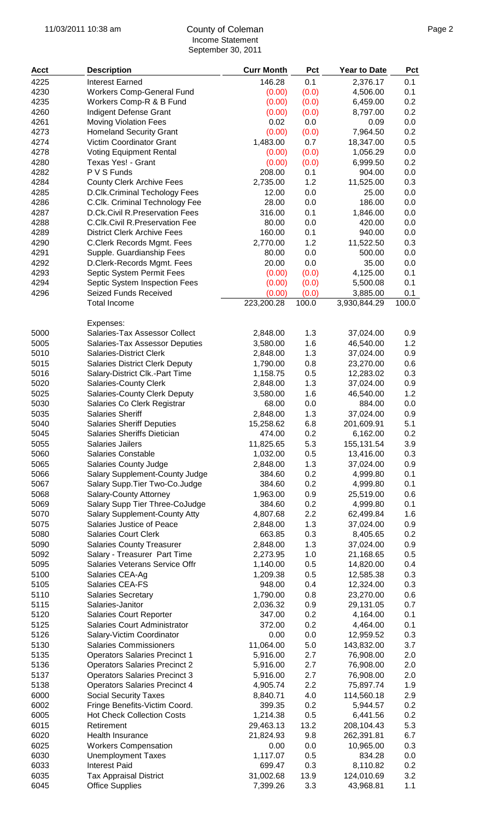## 11/03/2011 10:38 am Page 2 County of Coleman Income Statement September 30, 2011

| <b>Acct</b>  | <b>Description</b>                                                   | <b>Curr Month</b>    | <b>Pct</b> | Year to Date            | <b>Pct</b> |
|--------------|----------------------------------------------------------------------|----------------------|------------|-------------------------|------------|
| 4225         | <b>Interest Earned</b>                                               | 146.28               | 0.1        | 2,376.17                | 0.1        |
| 4230         | <b>Workers Comp-General Fund</b>                                     | (0.00)               | (0.0)      | 4,506.00                | 0.1        |
| 4235         | Workers Comp-R & B Fund                                              | (0.00)               | (0.0)      | 6,459.00                | 0.2        |
| 4260         | Indigent Defense Grant                                               | (0.00)               | (0.0)      | 8,797.00                | 0.2        |
| 4261         | <b>Moving Violation Fees</b>                                         | 0.02                 | 0.0        | 0.09                    | 0.0        |
| 4273         | <b>Homeland Security Grant</b>                                       | (0.00)               | (0.0)      | 7,964.50                | 0.2        |
| 4274         | Victim Coordinator Grant                                             | 1,483.00             | 0.7        | 18,347.00               | 0.5        |
| 4278         | <b>Voting Equipment Rental</b>                                       | (0.00)               | (0.0)      | 1,056.29                | 0.0        |
| 4280         | Texas Yes! - Grant                                                   | (0.00)               | (0.0)      | 6,999.50                | 0.2        |
| 4282         | P V S Funds                                                          | 208.00               | 0.1        | 904.00                  | 0.0        |
| 4284         | <b>County Clerk Archive Fees</b>                                     | 2,735.00             | 1.2        | 11,525.00               | 0.3        |
| 4285         | D.Clk.Criminal Techology Fees                                        | 12.00                | 0.0        | 25.00                   | 0.0        |
| 4286         | C.Clk. Criminal Technology Fee                                       | 28.00                | 0.0        | 186.00                  | 0.0        |
| 4287         | D.Ck.Civil R.Preservation Fees                                       | 316.00               | 0.1        | 1,846.00                | 0.0        |
| 4288         | C.Clk.Civil R.Preservation Fee                                       | 80.00                | 0.0        | 420.00                  | 0.0        |
| 4289         | <b>District Clerk Archive Fees</b>                                   | 160.00               | 0.1        | 940.00                  | 0.0        |
| 4290         | C.Clerk Records Mgmt. Fees                                           | 2,770.00             | 1.2        | 11,522.50               | 0.3        |
| 4291         | Supple. Guardianship Fees                                            | 80.00                | 0.0        | 500.00                  | 0.0        |
| 4292         | D.Clerk-Records Mgmt. Fees                                           | 20.00                | 0.0        | 35.00                   | 0.0        |
| 4293         | Septic System Permit Fees                                            | (0.00)               | (0.0)      | 4,125.00                | 0.1        |
| 4294         | Septic System Inspection Fees                                        | (0.00)               | (0.0)      | 5,500.08                | 0.1        |
| 4296         | Seized Funds Received                                                | (0.00)               | (0.0)      | 3,885.00                | 0.1        |
|              | <b>Total Income</b>                                                  | 223,200.28           | 100.0      | 3,930,844.29            | 100.0      |
|              | Expenses:                                                            |                      |            |                         |            |
| 5000         | Salaries-Tax Assessor Collect                                        | 2,848.00             | 1.3        | 37,024.00               | 0.9        |
| 5005         | Salaries-Tax Assessor Deputies                                       | 3,580.00             | 1.6        | 46,540.00               | 1.2        |
| 5010         | <b>Salaries-District Clerk</b>                                       | 2,848.00             | 1.3        | 37,024.00               | 0.9        |
| 5015         | <b>Salaries District Clerk Deputy</b>                                | 1,790.00             | 0.8        | 23,270.00               | 0.6        |
| 5016         | Salary-District Clk.-Part Time                                       | 1,158.75             | 0.5        | 12,283.02               | 0.3        |
| 5020         | <b>Salaries-County Clerk</b>                                         | 2,848.00             | 1.3        | 37,024.00               | 0.9        |
| 5025         | Salaries-County Clerk Deputy                                         | 3,580.00             | 1.6        | 46,540.00               | 1.2        |
| 5030         | Salaries Co Clerk Registrar                                          | 68.00                | 0.0        | 884.00                  | 0.0        |
| 5035         | <b>Salaries Sheriff</b>                                              | 2,848.00             | 1.3        | 37,024.00               | 0.9        |
| 5040         | <b>Salaries Sheriff Deputies</b>                                     | 15,258.62            | 6.8        | 201,609.91              | 5.1        |
| 5045         | Salaries Sheriffs Dietician                                          | 474.00               | 0.2        | 6,162.00                | 0.2        |
| 5055         | Salaries Jailers                                                     | 11,825.65            | 5.3        | 155,131.54              | 3.9        |
| 5060         | <b>Salaries Constable</b>                                            | 1,032.00             | 0.5        | 13,416.00               | 0.3        |
| 5065         | <b>Salaries County Judge</b>                                         | 2,848.00             | 1.3        | 37,024.00               | 0.9        |
| 5066         | Salary Supplement-County Judge                                       | 384.60               | 0.2        | 4,999.80                | 0.1        |
| 5067<br>5068 | Salary Supp. Tier Two-Co. Judge                                      | 384.60               | 0.2<br>0.9 | 4,999.80                | 0.1        |
| 5069         | Salary-County Attorney<br>Salary Supp Tier Three-CoJudge             | 1,963.00<br>384.60   | 0.2        | 25,519.00<br>4,999.80   | 0.6<br>0.1 |
| 5070         | <b>Salary Supplement-County Atty</b>                                 | 4,807.68             | 2.2        | 62,499.84               | 1.6        |
| 5075         | Salaries Justice of Peace                                            | 2,848.00             | 1.3        | 37,024.00               | 0.9        |
| 5080         | <b>Salaries Court Clerk</b>                                          | 663.85               | 0.3        | 8,405.65                | 0.2        |
| 5090         | <b>Salaries County Treasurer</b>                                     | 2,848.00             | 1.3        | 37,024.00               | 0.9        |
| 5092         | Salary - Treasurer Part Time                                         | 2,273.95             | 1.0        | 21,168.65               | 0.5        |
| 5095         | Salaries Veterans Service Offr                                       | 1,140.00             | 0.5        | 14,820.00               | 0.4        |
| 5100         | Salaries CEA-Ag                                                      | 1,209.38             | 0.5        | 12,585.38               | 0.3        |
| 5105         | Salaries CEA-FS                                                      | 948.00               | 0.4        | 12,324.00               | 0.3        |
| 5110         | <b>Salaries Secretary</b>                                            | 1,790.00             | 0.8        | 23,270.00               | 0.6        |
| 5115         | Salaries-Janitor                                                     | 2,036.32             | 0.9        | 29,131.05               | 0.7        |
| 5120         | <b>Salaries Court Reporter</b>                                       | 347.00               | 0.2        | 4,164.00                | 0.1        |
| 5125         | Salaries Court Administrator                                         | 372.00               | 0.2        | 4,464.00                | 0.1        |
| 5126         | Salary-Victim Coordinator                                            | 0.00                 | 0.0        | 12,959.52               | 0.3        |
| 5130         | <b>Salaries Commissioners</b>                                        | 11,064.00            | 5.0        | 143,832.00              | 3.7        |
| 5135         | <b>Operators Salaries Precinct 1</b>                                 | 5,916.00             | 2.7        | 76,908.00               | 2.0        |
| 5136         | <b>Operators Salaries Precinct 2</b>                                 | 5,916.00             | 2.7        | 76,908.00               | 2.0        |
| 5137         | <b>Operators Salaries Precinct 3</b>                                 | 5,916.00             | 2.7<br>2.2 | 76,908.00               | 2.0        |
| 5138<br>6000 | <b>Operators Salaries Precinct 4</b><br><b>Social Security Taxes</b> | 4,905.74<br>8,840.71 | 4.0        | 75,897.74<br>114,560.18 | 1.9<br>2.9 |
| 6002         |                                                                      | 399.35               | 0.2        | 5,944.57                | 0.2        |
| 6005         | Fringe Benefits-Victim Coord.<br><b>Hot Check Collection Costs</b>   | 1,214.38             | 0.5        | 6,441.56                | 0.2        |
| 6015         | Retirement                                                           | 29,463.13            | 13.2       | 208,104.43              | 5.3        |
| 6020         | Health Insurance                                                     | 21,824.93            | 9.8        | 262,391.81              | 6.7        |
| 6025         | <b>Workers Compensation</b>                                          | 0.00                 | 0.0        | 10,965.00               | 0.3        |
| 6030         | <b>Unemployment Taxes</b>                                            | 1,117.07             | 0.5        | 834.28                  | 0.0        |
| 6033         | <b>Interest Paid</b>                                                 | 699.47               | 0.3        | 8,110.82                | 0.2        |
| 6035         | <b>Tax Appraisal District</b>                                        | 31,002.68            | 13.9       | 124,010.69              | 3.2        |
| 6045         | <b>Office Supplies</b>                                               | 7,399.26             | 3.3        | 43,968.81               | 1.1        |